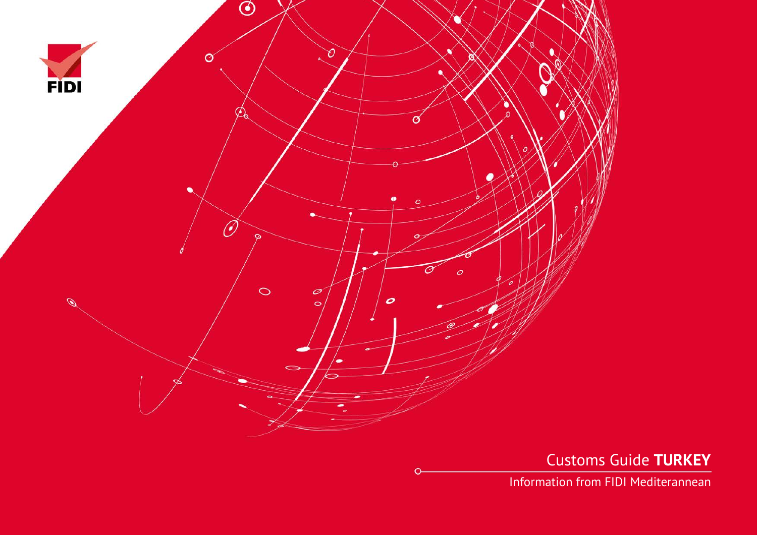

Customs Guide **TURKEY**

Information from FIDI Mediterannean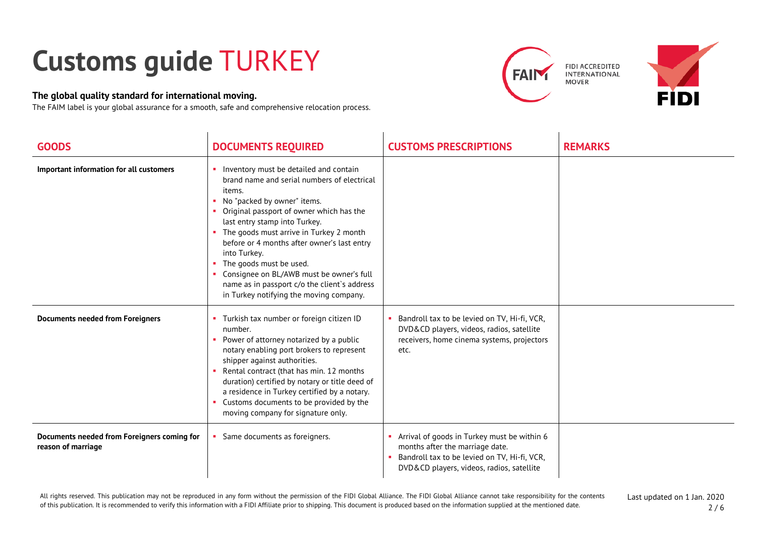## **Customs guide** TURKEY

## **The global quality standard for international moving.**

The FAIM label is your global assurance for a smooth, safe and comprehensive relocation process.





| <b>GOODS</b>                                                      | <b>DOCUMENTS REQUIRED</b>                                                                                                                                                                                                                                                                                                                                                                                                                                                                 | <b>CUSTOMS PRESCRIPTIONS</b>                                                                                                                                                | <b>REMARKS</b> |
|-------------------------------------------------------------------|-------------------------------------------------------------------------------------------------------------------------------------------------------------------------------------------------------------------------------------------------------------------------------------------------------------------------------------------------------------------------------------------------------------------------------------------------------------------------------------------|-----------------------------------------------------------------------------------------------------------------------------------------------------------------------------|----------------|
| Important information for all customers                           | Inventory must be detailed and contain<br>brand name and serial numbers of electrical<br>items.<br>No "packed by owner" items.<br>Original passport of owner which has the<br>last entry stamp into Turkey.<br>• The goods must arrive in Turkey 2 month<br>before or 4 months after owner's last entry<br>into Turkey.<br>The goods must be used.<br>Consignee on BL/AWB must be owner's full<br>name as in passport c/o the client's address<br>in Turkey notifying the moving company. |                                                                                                                                                                             |                |
| <b>Documents needed from Foreigners</b>                           | Turkish tax number or foreign citizen ID<br>number.<br>Power of attorney notarized by a public<br>notary enabling port brokers to represent<br>shipper against authorities.<br>Rental contract (that has min. 12 months<br>duration) certified by notary or title deed of<br>a residence in Turkey certified by a notary.<br>Customs documents to be provided by the<br>moving company for signature only.                                                                                | Bandroll tax to be levied on TV, Hi-fi, VCR,<br>DVD&CD players, videos, radios, satellite<br>receivers, home cinema systems, projectors<br>etc.                             |                |
| Documents needed from Foreigners coming for<br>reason of marriage | Same documents as foreigners.                                                                                                                                                                                                                                                                                                                                                                                                                                                             | Arrival of goods in Turkey must be within 6<br>months after the marriage date.<br>Bandroll tax to be levied on TV, Hi-fi, VCR,<br>DVD&CD players, videos, radios, satellite |                |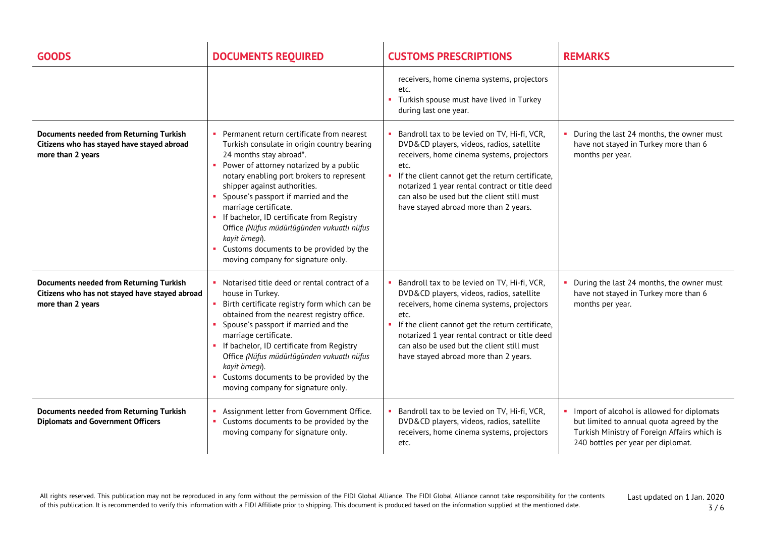| <b>GOODS</b>                                                                                                          | <b>DOCUMENTS REQUIRED</b>                                                                                                                                                                                                                                                                                                                                                                                                                                                                                          | <b>CUSTOMS PRESCRIPTIONS</b>                                                                                                                                                                                                                                                                                                                 | <b>REMARKS</b>                                                                                                                                                                |
|-----------------------------------------------------------------------------------------------------------------------|--------------------------------------------------------------------------------------------------------------------------------------------------------------------------------------------------------------------------------------------------------------------------------------------------------------------------------------------------------------------------------------------------------------------------------------------------------------------------------------------------------------------|----------------------------------------------------------------------------------------------------------------------------------------------------------------------------------------------------------------------------------------------------------------------------------------------------------------------------------------------|-------------------------------------------------------------------------------------------------------------------------------------------------------------------------------|
|                                                                                                                       |                                                                                                                                                                                                                                                                                                                                                                                                                                                                                                                    | receivers, home cinema systems, projectors<br>etc.<br>Turkish spouse must have lived in Turkey<br>during last one year.                                                                                                                                                                                                                      |                                                                                                                                                                               |
| <b>Documents needed from Returning Turkish</b><br>Citizens who has stayed have stayed abroad<br>more than 2 years     | • Permanent return certificate from nearest<br>Turkish consulate in origin country bearing<br>24 months stay abroad*.<br>• Power of attorney notarized by a public<br>notary enabling port brokers to represent<br>shipper against authorities.<br>Spouse's passport if married and the<br>marriage certificate.<br>• If bachelor, ID certificate from Registry<br>Office (Nüfus müdürlüqünden vukuatlı nüfus<br>kayit örnegi).<br>• Customs documents to be provided by the<br>moving company for signature only. | Bandroll tax to be levied on TV, Hi-fi, VCR,<br>DVD&CD players, videos, radios, satellite<br>receivers, home cinema systems, projectors<br>etc.<br>If the client cannot get the return certificate,<br>notarized 1 year rental contract or title deed<br>can also be used but the client still must<br>have stayed abroad more than 2 years. | During the last 24 months, the owner must<br>have not stayed in Turkey more than 6<br>months per year.                                                                        |
| <b>Documents needed from Returning Turkish</b><br>Citizens who has not stayed have stayed abroad<br>more than 2 years | • Notarised title deed or rental contract of a<br>house in Turkey.<br>Birth certificate registry form which can be<br>obtained from the nearest registry office.<br>Spouse's passport if married and the<br>marriage certificate.<br>• If bachelor, ID certificate from Registry<br>Office (Nüfus müdürlügünden vukuatlı nüfus<br>kayit örnegi).<br>• Customs documents to be provided by the<br>moving company for signature only.                                                                                | Bandroll tax to be levied on TV, Hi-fi, VCR,<br>DVD&CD players, videos, radios, satellite<br>receivers, home cinema systems, projectors<br>etc.<br>If the client cannot get the return certificate,<br>notarized 1 year rental contract or title deed<br>can also be used but the client still must<br>have stayed abroad more than 2 years. | During the last 24 months, the owner must<br>have not stayed in Turkey more than 6<br>months per year.                                                                        |
| <b>Documents needed from Returning Turkish</b><br><b>Diplomats and Government Officers</b>                            | Assignment letter from Government Office.<br>• Customs documents to be provided by the<br>moving company for signature only.                                                                                                                                                                                                                                                                                                                                                                                       | Bandroll tax to be levied on TV, Hi-fi, VCR,<br>DVD&CD players, videos, radios, satellite<br>receivers, home cinema systems, projectors<br>etc.                                                                                                                                                                                              | Import of alcohol is allowed for diplomats<br>but limited to annual quota agreed by the<br>Turkish Ministry of Foreign Affairs which is<br>240 bottles per year per diplomat. |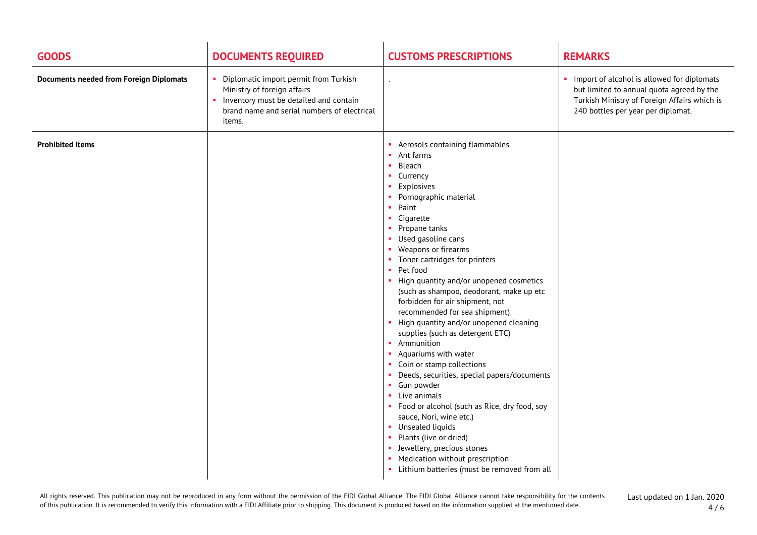| <b>GOODS</b>                                   | <b>DOCUMENTS REQUIRED</b>                                                                                                                                                   | <b>CUSTOMS PRESCRIPTIONS</b>                                                                                                                                                                                                                                                                                                                                                                                                                                                                                                                                                                                                                                                                                                                                                                                                                                                                                                                | <b>REMARKS</b>                                                                                                                                                                      |
|------------------------------------------------|-----------------------------------------------------------------------------------------------------------------------------------------------------------------------------|---------------------------------------------------------------------------------------------------------------------------------------------------------------------------------------------------------------------------------------------------------------------------------------------------------------------------------------------------------------------------------------------------------------------------------------------------------------------------------------------------------------------------------------------------------------------------------------------------------------------------------------------------------------------------------------------------------------------------------------------------------------------------------------------------------------------------------------------------------------------------------------------------------------------------------------------|-------------------------------------------------------------------------------------------------------------------------------------------------------------------------------------|
| <b>Documents needed from Foreign Diplomats</b> | • Diplomatic import permit from Turkish<br>Ministry of foreign affairs<br>• Inventory must be detailed and contain<br>brand name and serial numbers of electrical<br>items. |                                                                                                                                                                                                                                                                                                                                                                                                                                                                                                                                                                                                                                                                                                                                                                                                                                                                                                                                             | Import of alcohol is allowed for diplomats<br>m.<br>but limited to annual quota agreed by the<br>Turkish Ministry of Foreign Affairs which is<br>240 bottles per year per diplomat. |
| <b>Prohibited Items</b>                        |                                                                                                                                                                             | Aerosols containing flammables<br>Ant farms<br><b>CO</b><br>Bleach<br><b>II</b><br>Currency<br>Explosives<br>Pornographic material<br>Paint<br>m.<br>• Cigarette<br>Propane tanks<br>Used gasoline cans<br>Weapons or firearms<br>Toner cartridges for printers<br>Pet food<br>• High quantity and/or unopened cosmetics<br>(such as shampoo, deodorant, make up etc<br>forbidden for air shipment, not<br>recommended for sea shipment)<br>High quantity and/or unopened cleaning<br>supplies (such as detergent ETC)<br>Ammunition<br>Aquariums with water<br>• Coin or stamp collections<br>Deeds, securities, special papers/documents<br>• Gun powder<br>Live animals<br>• Food or alcohol (such as Rice, dry food, soy<br>sauce, Nori, wine etc.)<br>• Unsealed liquids<br>Plants (live or dried)<br>• Jewellery, precious stones<br>Medication without prescription<br>$\mathbf{r}$<br>• Lithium batteries (must be removed from all |                                                                                                                                                                                     |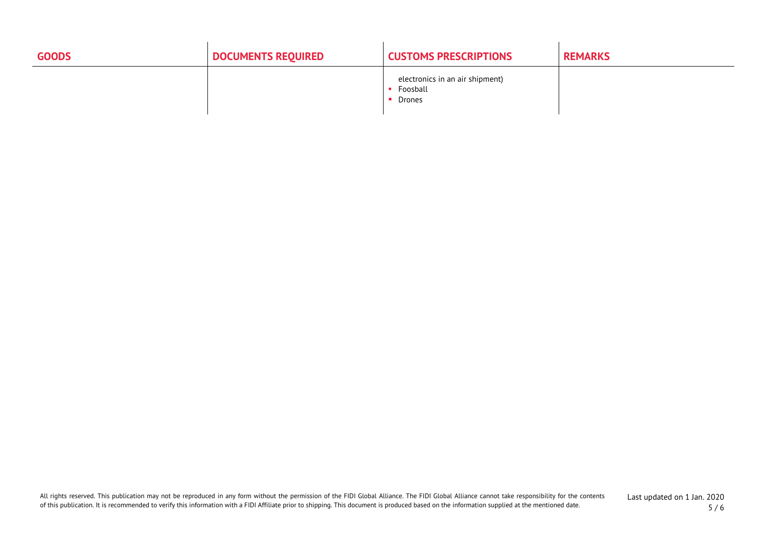| <b>GOODS</b> | <b>DOCUMENTS REQUIRED</b> | <b>CUSTOMS PRESCRIPTIONS</b>                          | <b>REMARKS</b> |
|--------------|---------------------------|-------------------------------------------------------|----------------|
|              |                           | electronics in an air shipment)<br>Foosball<br>Drones |                |